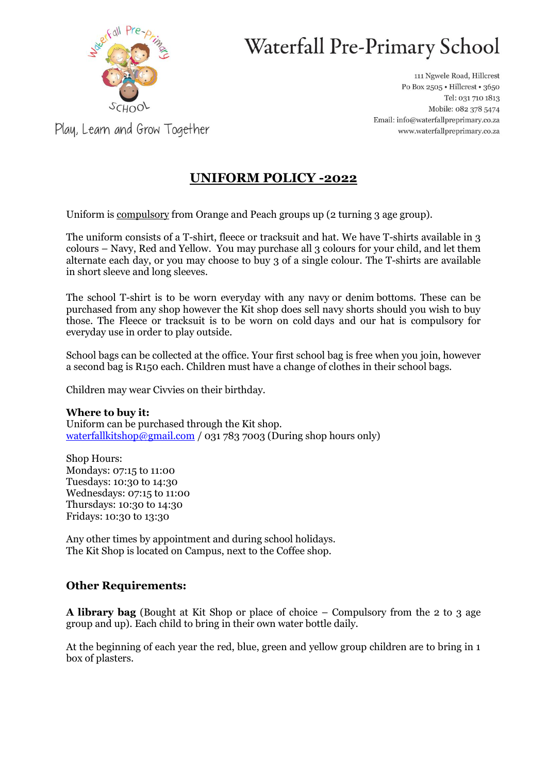

# Waterfall Pre-Primary School

111 Ngwele Road, Hillcrest Po Box 2505 · Hillcrest · 3650 Tel: 031 710 1813 Mobile: 082 378 5474 Email: info@waterfallpreprimary.co.za www.waterfallpreprimary.co.za

Play, Learn and Grow Together

## **UNIFORM POLICY -2022**

Uniform is compulsory from Orange and Peach groups up (2 turning 3 age group).

The uniform consists of a T-shirt, fleece or tracksuit and hat. We have T-shirts available in 3 colours – Navy, Red and Yellow. You may purchase all 3 colours for your child, and let them alternate each day, or you may choose to buy 3 of a single colour. The T-shirts are available in short sleeve and long sleeves.

The school T-shirt is to be worn everyday with any navy or denim bottoms. These can be purchased from any shop however the Kit shop does sell navy shorts should you wish to buy those. The Fleece or tracksuit is to be worn on cold days and our hat is compulsory for everyday use in order to play outside.

School bags can be collected at the office. Your first school bag is free when you join, however a second bag is R150 each. Children must have a change of clothes in their school bags.

Children may wear Civvies on their birthday.

#### **Where to buy it:**

Uniform can be purchased through the Kit shop. [waterfallkitshop@gmail.com](mailto:waterfallkitshop@gmail.com) / 031 783 7003 (During shop hours only)

Shop Hours: Mondays: 07:15 to 11:00 Tuesdays: 10:30 to 14:30 Wednesdays: 07:15 to 11:00 Thursdays: 10:30 to 14:30 Fridays: 10:30 to 13:30

Any other times by appointment and during school holidays. The Kit Shop is located on Campus, next to the Coffee shop.

### **Other Requirements:**

**A library bag** (Bought at Kit Shop or place of choice – Compulsory from the 2 to 3 age group and up). Each child to bring in their own water bottle daily.

At the beginning of each year the red, blue, green and yellow group children are to bring in 1 box of plasters.